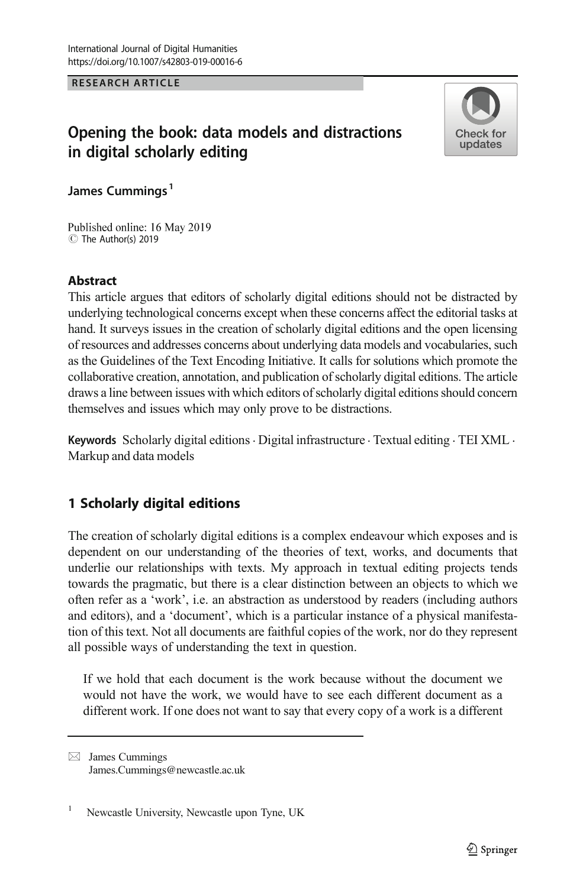# Opening the book: data models and distractions in digital scholarly editing



James Cummings<sup>1</sup>

Published online: 16 May 2019 C The Author(s) 2019

#### Abstract

This article argues that editors of scholarly digital editions should not be distracted by underlying technological concerns except when these concerns affect the editorial tasks at hand. It surveys issues in the creation of scholarly digital editions and the open licensing of resources and addresses concerns about underlying data models and vocabularies, such as the Guidelines of the Text Encoding Initiative. It calls for solutions which promote the collaborative creation, annotation, and publication of scholarly digital editions. The article draws a line between issues with which editors of scholarly digital editions should concern themselves and issues which may only prove to be distractions.

Keywords Scholarly digital editions  $\cdot$  Digital infrastructure  $\cdot$  Textual editing  $\cdot$  TEI XML  $\cdot$ Markup and data models

# 1 Scholarly digital editions

The creation of scholarly digital editions is a complex endeavour which exposes and is dependent on our understanding of the theories of text, works, and documents that underlie our relationships with texts. My approach in textual editing projects tends towards the pragmatic, but there is a clear distinction between an objects to which we often refer as a 'work', i.e. an abstraction as understood by readers (including authors and editors), and a 'document', which is a particular instance of a physical manifestation of this text. Not all documents are faithful copies of the work, nor do they represent all possible ways of understanding the text in question.

If we hold that each document is the work because without the document we would not have the work, we would have to see each different document as a different work. If one does not want to say that every copy of a work is a different

 $\boxtimes$  James Cummings [James.Cummings@newcastle.ac.uk](mailto:James.Cummings@newcastle.ac.uk)

<sup>&</sup>lt;sup>1</sup> Newcastle University, Newcastle upon Tyne, UK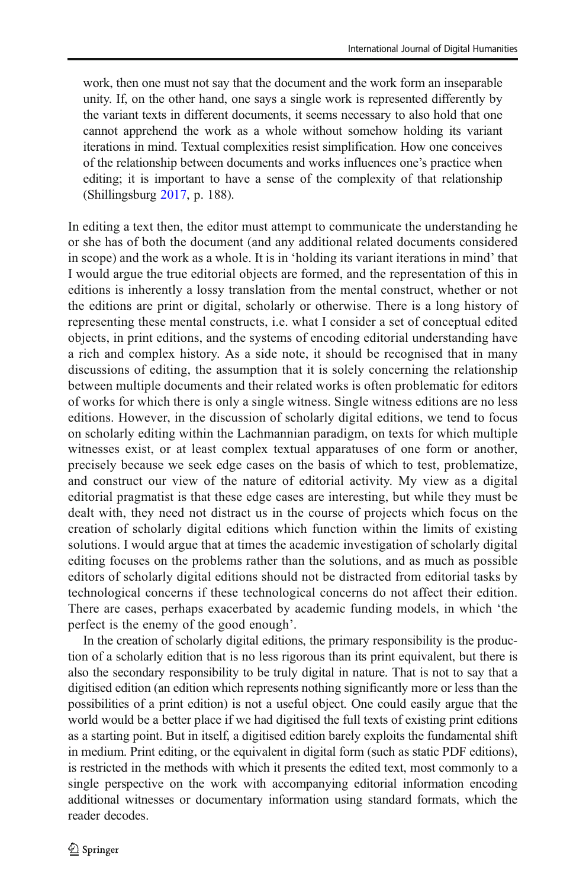work, then one must not say that the document and the work form an inseparable unity. If, on the other hand, one says a single work is represented differently by the variant texts in different documents, it seems necessary to also hold that one cannot apprehend the work as a whole without somehow holding its variant iterations in mind. Textual complexities resist simplification. How one conceives of the relationship between documents and works influences one's practice when editing; it is important to have a sense of the complexity of that relationship (Shillingsburg [2017,](#page-13-0) p. 188).

In editing a text then, the editor must attempt to communicate the understanding he or she has of both the document (and any additional related documents considered in scope) and the work as a whole. It is in 'holding its variant iterations in mind' that I would argue the true editorial objects are formed, and the representation of this in editions is inherently a lossy translation from the mental construct, whether or not the editions are print or digital, scholarly or otherwise. There is a long history of representing these mental constructs, i.e. what I consider a set of conceptual edited objects, in print editions, and the systems of encoding editorial understanding have a rich and complex history. As a side note, it should be recognised that in many discussions of editing, the assumption that it is solely concerning the relationship between multiple documents and their related works is often problematic for editors of works for which there is only a single witness. Single witness editions are no less editions. However, in the discussion of scholarly digital editions, we tend to focus on scholarly editing within the Lachmannian paradigm, on texts for which multiple witnesses exist, or at least complex textual apparatuses of one form or another, precisely because we seek edge cases on the basis of which to test, problematize, and construct our view of the nature of editorial activity. My view as a digital editorial pragmatist is that these edge cases are interesting, but while they must be dealt with, they need not distract us in the course of projects which focus on the creation of scholarly digital editions which function within the limits of existing solutions. I would argue that at times the academic investigation of scholarly digital editing focuses on the problems rather than the solutions, and as much as possible editors of scholarly digital editions should not be distracted from editorial tasks by technological concerns if these technological concerns do not affect their edition. There are cases, perhaps exacerbated by academic funding models, in which 'the perfect is the enemy of the good enough'.

In the creation of scholarly digital editions, the primary responsibility is the production of a scholarly edition that is no less rigorous than its print equivalent, but there is also the secondary responsibility to be truly digital in nature. That is not to say that a digitised edition (an edition which represents nothing significantly more or less than the possibilities of a print edition) is not a useful object. One could easily argue that the world would be a better place if we had digitised the full texts of existing print editions as a starting point. But in itself, a digitised edition barely exploits the fundamental shift in medium. Print editing, or the equivalent in digital form (such as static PDF editions), is restricted in the methods with which it presents the edited text, most commonly to a single perspective on the work with accompanying editorial information encoding additional witnesses or documentary information using standard formats, which the reader decodes.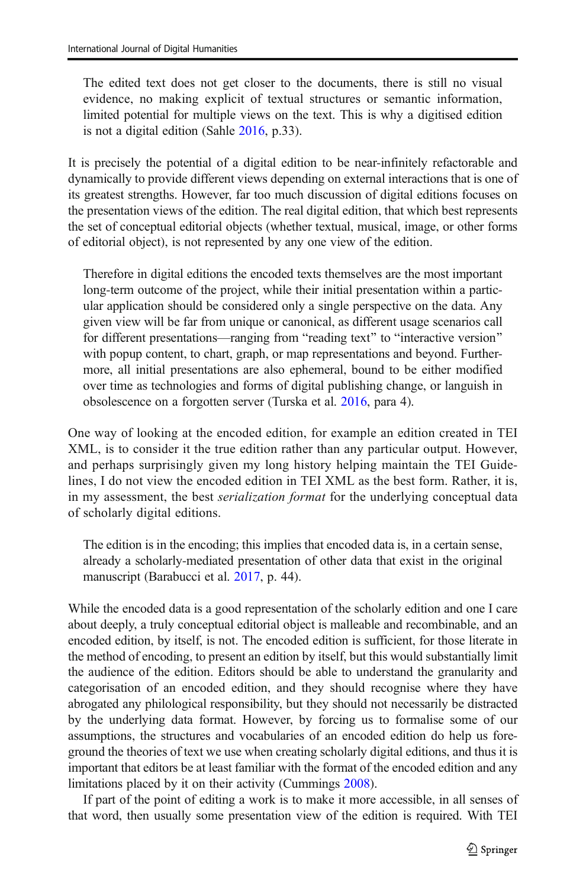The edited text does not get closer to the documents, there is still no visual evidence, no making explicit of textual structures or semantic information, limited potential for multiple views on the text. This is why a digitised edition is not a digital edition (Sahle [2016,](#page-13-0) p.33).

It is precisely the potential of a digital edition to be near-infinitely refactorable and dynamically to provide different views depending on external interactions that is one of its greatest strengths. However, far too much discussion of digital editions focuses on the presentation views of the edition. The real digital edition, that which best represents the set of conceptual editorial objects (whether textual, musical, image, or other forms of editorial object), is not represented by any one view of the edition.

Therefore in digital editions the encoded texts themselves are the most important long-term outcome of the project, while their initial presentation within a particular application should be considered only a single perspective on the data. Any given view will be far from unique or canonical, as different usage scenarios call for different presentations—ranging from "reading text" to "interactive version" with popup content, to chart, graph, or map representations and beyond. Furthermore, all initial presentations are also ephemeral, bound to be either modified over time as technologies and forms of digital publishing change, or languish in obsolescence on a forgotten server (Turska et al. [2016](#page-14-0), para 4).

One way of looking at the encoded edition, for example an edition created in TEI XML, is to consider it the true edition rather than any particular output. However, and perhaps surprisingly given my long history helping maintain the TEI Guidelines, I do not view the encoded edition in TEI XML as the best form. Rather, it is, in my assessment, the best *serialization format* for the underlying conceptual data of scholarly digital editions.

The edition is in the encoding; this implies that encoded data is, in a certain sense, already a scholarly-mediated presentation of other data that exist in the original manuscript (Barabucci et al. [2017](#page-13-0), p. 44).

While the encoded data is a good representation of the scholarly edition and one I care about deeply, a truly conceptual editorial object is malleable and recombinable, and an encoded edition, by itself, is not. The encoded edition is sufficient, for those literate in the method of encoding, to present an edition by itself, but this would substantially limit the audience of the edition. Editors should be able to understand the granularity and categorisation of an encoded edition, and they should recognise where they have abrogated any philological responsibility, but they should not necessarily be distracted by the underlying data format. However, by forcing us to formalise some of our assumptions, the structures and vocabularies of an encoded edition do help us foreground the theories of text we use when creating scholarly digital editions, and thus it is important that editors be at least familiar with the format of the encoded edition and any limitations placed by it on their activity (Cummings [2008\)](#page-13-0).

If part of the point of editing a work is to make it more accessible, in all senses of that word, then usually some presentation view of the edition is required. With TEI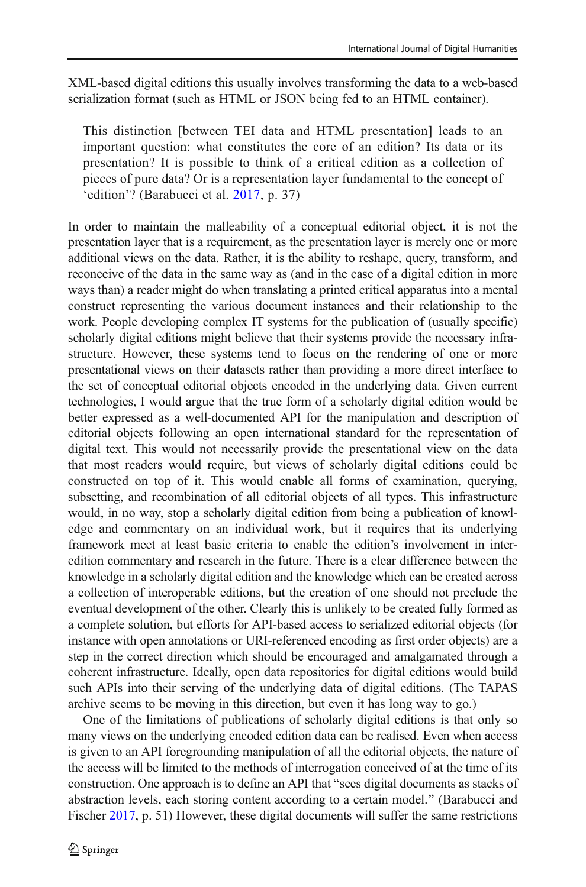XML-based digital editions this usually involves transforming the data to a web-based serialization format (such as HTML or JSON being fed to an HTML container).

This distinction [between TEI data and HTML presentation] leads to an important question: what constitutes the core of an edition? Its data or its presentation? It is possible to think of a critical edition as a collection of pieces of pure data? Or is a representation layer fundamental to the concept of 'edition'? (Barabucci et al. [2017](#page-13-0), p. 37)

In order to maintain the malleability of a conceptual editorial object, it is not the presentation layer that is a requirement, as the presentation layer is merely one or more additional views on the data. Rather, it is the ability to reshape, query, transform, and reconceive of the data in the same way as (and in the case of a digital edition in more ways than) a reader might do when translating a printed critical apparatus into a mental construct representing the various document instances and their relationship to the work. People developing complex IT systems for the publication of (usually specific) scholarly digital editions might believe that their systems provide the necessary infrastructure. However, these systems tend to focus on the rendering of one or more presentational views on their datasets rather than providing a more direct interface to the set of conceptual editorial objects encoded in the underlying data. Given current technologies, I would argue that the true form of a scholarly digital edition would be better expressed as a well-documented API for the manipulation and description of editorial objects following an open international standard for the representation of digital text. This would not necessarily provide the presentational view on the data that most readers would require, but views of scholarly digital editions could be constructed on top of it. This would enable all forms of examination, querying, subsetting, and recombination of all editorial objects of all types. This infrastructure would, in no way, stop a scholarly digital edition from being a publication of knowledge and commentary on an individual work, but it requires that its underlying framework meet at least basic criteria to enable the edition's involvement in interedition commentary and research in the future. There is a clear difference between the knowledge in a scholarly digital edition and the knowledge which can be created across a collection of interoperable editions, but the creation of one should not preclude the eventual development of the other. Clearly this is unlikely to be created fully formed as a complete solution, but efforts for API-based access to serialized editorial objects (for instance with open annotations or URI-referenced encoding as first order objects) are a step in the correct direction which should be encouraged and amalgamated through a coherent infrastructure. Ideally, open data repositories for digital editions would build such APIs into their serving of the underlying data of digital editions. (The TAPAS archive seems to be moving in this direction, but even it has long way to go.)

One of the limitations of publications of scholarly digital editions is that only so many views on the underlying encoded edition data can be realised. Even when access is given to an API foregrounding manipulation of all the editorial objects, the nature of the access will be limited to the methods of interrogation conceived of at the time of its construction. One approach is to define an API that "sees digital documents as stacks of abstraction levels, each storing content according to a certain model." (Barabucci and Fischer [2017,](#page-13-0) p. 51) However, these digital documents will suffer the same restrictions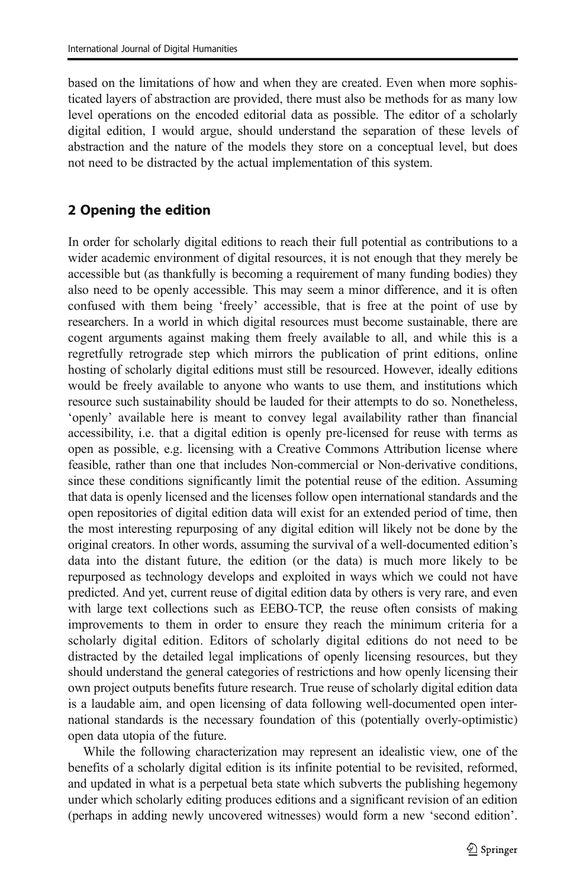based on the limitations of how and when they are created. Even when more sophisticated layers of abstraction are provided, there must also be methods for as many low level operations on the encoded editorial data as possible. The editor of a scholarly digital edition, I would argue, should understand the separation of these levels of abstraction and the nature of the models they store on a conceptual level, but does not need to be distracted by the actual implementation of this system.

### 2 Opening the edition

In order for scholarly digital editions to reach their full potential as contributions to a wider academic environment of digital resources, it is not enough that they merely be accessible but (as thankfully is becoming a requirement of many funding bodies) they also need to be openly accessible. This may seem a minor difference, and it is often confused with them being 'freely' accessible, that is free at the point of use by researchers. In a world in which digital resources must become sustainable, there are cogent arguments against making them freely available to all, and while this is a regretfully retrograde step which mirrors the publication of print editions, online hosting of scholarly digital editions must still be resourced. However, ideally editions would be freely available to anyone who wants to use them, and institutions which resource such sustainability should be lauded for their attempts to do so. Nonetheless, 'openly' available here is meant to convey legal availability rather than financial accessibility, i.e. that a digital edition is openly pre-licensed for reuse with terms as open as possible, e.g. licensing with a Creative Commons Attribution license where feasible, rather than one that includes Non-commercial or Non-derivative conditions, since these conditions significantly limit the potential reuse of the edition. Assuming that data is openly licensed and the licenses follow open international standards and the open repositories of digital edition data will exist for an extended period of time, then the most interesting repurposing of any digital edition will likely not be done by the original creators. In other words, assuming the survival of a well-documented edition's data into the distant future, the edition (or the data) is much more likely to be repurposed as technology develops and exploited in ways which we could not have predicted. And yet, current reuse of digital edition data by others is very rare, and even with large text collections such as EEBO-TCP, the reuse often consists of making improvements to them in order to ensure they reach the minimum criteria for a scholarly digital edition. Editors of scholarly digital editions do not need to be distracted by the detailed legal implications of openly licensing resources, but they should understand the general categories of restrictions and how openly licensing their own project outputs benefits future research. True reuse of scholarly digital edition data is a laudable aim, and open licensing of data following well-documented open international standards is the necessary foundation of this (potentially overly-optimistic) open data utopia of the future.

While the following characterization may represent an idealistic view, one of the benefits of a scholarly digital edition is its infinite potential to be revisited, reformed, and updated in what is a perpetual beta state which subverts the publishing hegemony under which scholarly editing produces editions and a significant revision of an edition (perhaps in adding newly uncovered witnesses) would form a new 'second edition'.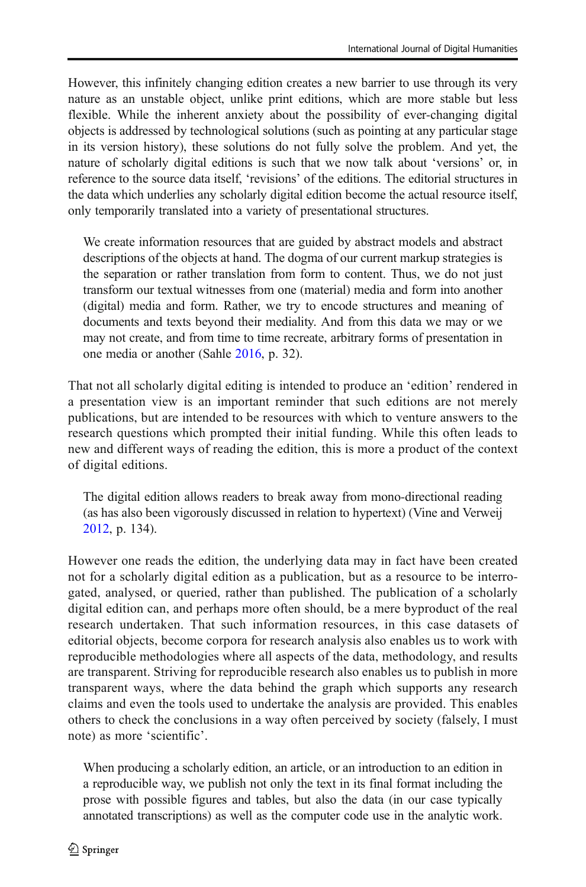However, this infinitely changing edition creates a new barrier to use through its very nature as an unstable object, unlike print editions, which are more stable but less flexible. While the inherent anxiety about the possibility of ever-changing digital objects is addressed by technological solutions (such as pointing at any particular stage in its version history), these solutions do not fully solve the problem. And yet, the nature of scholarly digital editions is such that we now talk about 'versions' or, in reference to the source data itself, 'revisions' of the editions. The editorial structures in the data which underlies any scholarly digital edition become the actual resource itself, only temporarily translated into a variety of presentational structures.

We create information resources that are guided by abstract models and abstract descriptions of the objects at hand. The dogma of our current markup strategies is the separation or rather translation from form to content. Thus, we do not just transform our textual witnesses from one (material) media and form into another (digital) media and form. Rather, we try to encode structures and meaning of documents and texts beyond their mediality. And from this data we may or we may not create, and from time to time recreate, arbitrary forms of presentation in one media or another (Sahle [2016](#page-13-0), p. 32).

That not all scholarly digital editing is intended to produce an 'edition' rendered in a presentation view is an important reminder that such editions are not merely publications, but are intended to be resources with which to venture answers to the research questions which prompted their initial funding. While this often leads to new and different ways of reading the edition, this is more a product of the context of digital editions.

The digital edition allows readers to break away from mono-directional reading (as has also been vigorously discussed in relation to hypertext) (Vine and Verweij [2012,](#page-14-0) p. 134).

However one reads the edition, the underlying data may in fact have been created not for a scholarly digital edition as a publication, but as a resource to be interrogated, analysed, or queried, rather than published. The publication of a scholarly digital edition can, and perhaps more often should, be a mere byproduct of the real research undertaken. That such information resources, in this case datasets of editorial objects, become corpora for research analysis also enables us to work with reproducible methodologies where all aspects of the data, methodology, and results are transparent. Striving for reproducible research also enables us to publish in more transparent ways, where the data behind the graph which supports any research claims and even the tools used to undertake the analysis are provided. This enables others to check the conclusions in a way often perceived by society (falsely, I must note) as more 'scientific'.

When producing a scholarly edition, an article, or an introduction to an edition in a reproducible way, we publish not only the text in its final format including the prose with possible figures and tables, but also the data (in our case typically annotated transcriptions) as well as the computer code use in the analytic work.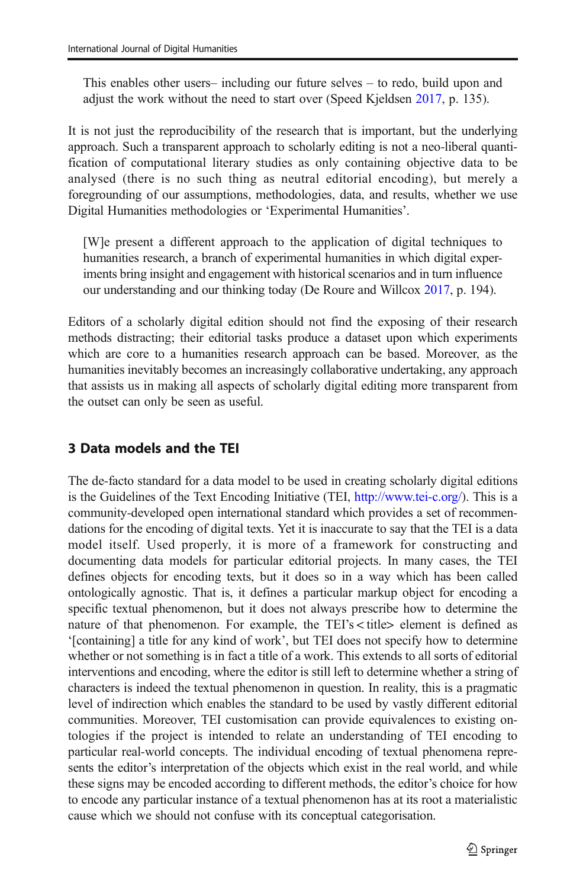This enables other users– including our future selves – to redo, build upon and adjust the work without the need to start over (Speed Kjeldsen [2017](#page-13-0), p. 135).

It is not just the reproducibility of the research that is important, but the underlying approach. Such a transparent approach to scholarly editing is not a neo-liberal quantification of computational literary studies as only containing objective data to be analysed (there is no such thing as neutral editorial encoding), but merely a foregrounding of our assumptions, methodologies, data, and results, whether we use Digital Humanities methodologies or 'Experimental Humanities'.

[W]e present a different approach to the application of digital techniques to humanities research, a branch of experimental humanities in which digital experiments bring insight and engagement with historical scenarios and in turn influence our understanding and our thinking today (De Roure and Willcox [2017,](#page-13-0) p. 194).

Editors of a scholarly digital edition should not find the exposing of their research methods distracting; their editorial tasks produce a dataset upon which experiments which are core to a humanities research approach can be based. Moreover, as the humanities inevitably becomes an increasingly collaborative undertaking, any approach that assists us in making all aspects of scholarly digital editing more transparent from the outset can only be seen as useful.

# 3 Data models and the TEI

The de-facto standard for a data model to be used in creating scholarly digital editions is the Guidelines of the Text Encoding Initiative (TEI, <http://www.tei-c.org/>). This is a community-developed open international standard which provides a set of recommendations for the encoding of digital texts. Yet it is inaccurate to say that the TEI is a data model itself. Used properly, it is more of a framework for constructing and documenting data models for particular editorial projects. In many cases, the TEI defines objects for encoding texts, but it does so in a way which has been called ontologically agnostic. That is, it defines a particular markup object for encoding a specific textual phenomenon, but it does not always prescribe how to determine the nature of that phenomenon. For example, the TEI's < title> element is defined as '[containing] a title for any kind of work', but TEI does not specify how to determine whether or not something is in fact a title of a work. This extends to all sorts of editorial interventions and encoding, where the editor is still left to determine whether a string of characters is indeed the textual phenomenon in question. In reality, this is a pragmatic level of indirection which enables the standard to be used by vastly different editorial communities. Moreover, TEI customisation can provide equivalences to existing ontologies if the project is intended to relate an understanding of TEI encoding to particular real-world concepts. The individual encoding of textual phenomena represents the editor's interpretation of the objects which exist in the real world, and while these signs may be encoded according to different methods, the editor's choice for how to encode any particular instance of a textual phenomenon has at its root a materialistic cause which we should not confuse with its conceptual categorisation.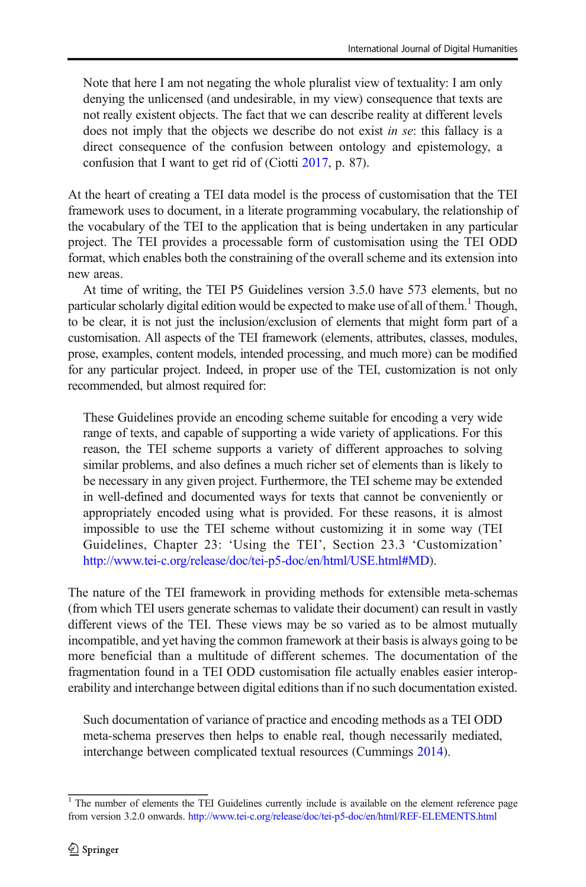Note that here I am not negating the whole pluralist view of textuality: I am only denying the unlicensed (and undesirable, in my view) consequence that texts are not really existent objects. The fact that we can describe reality at different levels does not imply that the objects we describe do not exist in se: this fallacy is a direct consequence of the confusion between ontology and epistemology, a confusion that I want to get rid of (Ciotti [2017](#page-13-0), p. 87).

At the heart of creating a TEI data model is the process of customisation that the TEI framework uses to document, in a literate programming vocabulary, the relationship of the vocabulary of the TEI to the application that is being undertaken in any particular project. The TEI provides a processable form of customisation using the TEI ODD format, which enables both the constraining of the overall scheme and its extension into new areas.

At time of writing, the TEI P5 Guidelines version 3.5.0 have 573 elements, but no particular scholarly digital edition would be expected to make use of all of them.<sup>1</sup> Though, to be clear, it is not just the inclusion/exclusion of elements that might form part of a customisation. All aspects of the TEI framework (elements, attributes, classes, modules, prose, examples, content models, intended processing, and much more) can be modified for any particular project. Indeed, in proper use of the TEI, customization is not only recommended, but almost required for:

These Guidelines provide an encoding scheme suitable for encoding a very wide range of texts, and capable of supporting a wide variety of applications. For this reason, the TEI scheme supports a variety of different approaches to solving similar problems, and also defines a much richer set of elements than is likely to be necessary in any given project. Furthermore, the TEI scheme may be extended in well-defined and documented ways for texts that cannot be conveniently or appropriately encoded using what is provided. For these reasons, it is almost impossible to use the TEI scheme without customizing it in some way (TEI Guidelines, Chapter 23: 'Using the TEI', Section 23.3 'Customization' <http://www.tei-c.org/release/doc/tei-p5-doc/en/html/USE.html#MD>).

The nature of the TEI framework in providing methods for extensible meta-schemas (from which TEI users generate schemas to validate their document) can result in vastly different views of the TEI. These views may be so varied as to be almost mutually incompatible, and yet having the common framework at their basis is always going to be more beneficial than a multitude of different schemes. The documentation of the fragmentation found in a TEI ODD customisation file actually enables easier interoperability and interchange between digital editions than if no such documentation existed.

Such documentation of variance of practice and encoding methods as a TEI ODD meta-schema preserves then helps to enable real, though necessarily mediated, interchange between complicated textual resources (Cummings [2014\)](#page-13-0).

<sup>&</sup>lt;sup>1</sup> The number of elements the TEI Guidelines currently include is available on the element reference page from version 3.2.0 onwards. <http://www.tei-c.org/release/doc/tei-p5-doc/en/html/REF-ELEMENTS.html>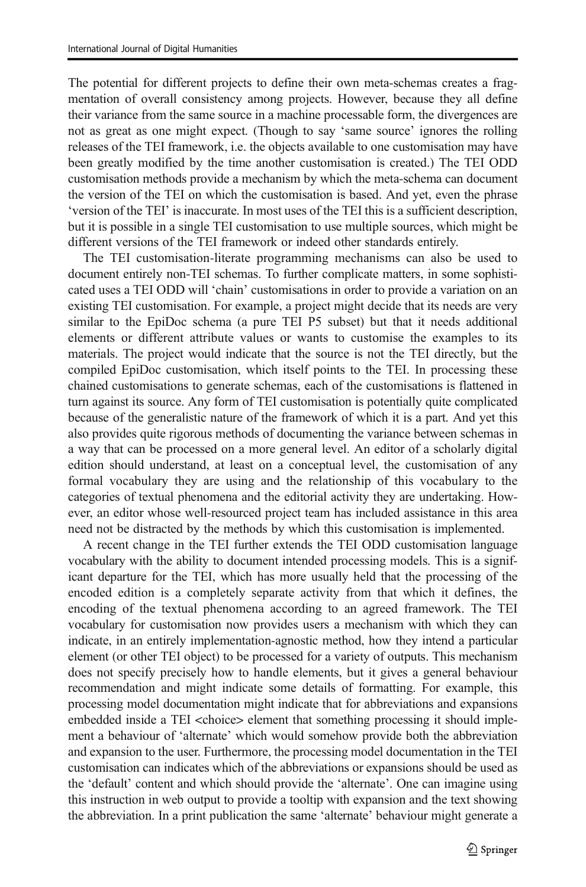The potential for different projects to define their own meta-schemas creates a fragmentation of overall consistency among projects. However, because they all define their variance from the same source in a machine processable form, the divergences are not as great as one might expect. (Though to say 'same source' ignores the rolling releases of the TEI framework, i.e. the objects available to one customisation may have been greatly modified by the time another customisation is created.) The TEI ODD customisation methods provide a mechanism by which the meta-schema can document the version of the TEI on which the customisation is based. And yet, even the phrase 'version of the TEI' is inaccurate. In most uses of the TEI this is a sufficient description, but it is possible in a single TEI customisation to use multiple sources, which might be different versions of the TEI framework or indeed other standards entirely.

The TEI customisation-literate programming mechanisms can also be used to document entirely non-TEI schemas. To further complicate matters, in some sophisticated uses a TEI ODD will 'chain' customisations in order to provide a variation on an existing TEI customisation. For example, a project might decide that its needs are very similar to the EpiDoc schema (a pure TEI P5 subset) but that it needs additional elements or different attribute values or wants to customise the examples to its materials. The project would indicate that the source is not the TEI directly, but the compiled EpiDoc customisation, which itself points to the TEI. In processing these chained customisations to generate schemas, each of the customisations is flattened in turn against its source. Any form of TEI customisation is potentially quite complicated because of the generalistic nature of the framework of which it is a part. And yet this also provides quite rigorous methods of documenting the variance between schemas in a way that can be processed on a more general level. An editor of a scholarly digital edition should understand, at least on a conceptual level, the customisation of any formal vocabulary they are using and the relationship of this vocabulary to the categories of textual phenomena and the editorial activity they are undertaking. However, an editor whose well-resourced project team has included assistance in this area need not be distracted by the methods by which this customisation is implemented.

A recent change in the TEI further extends the TEI ODD customisation language vocabulary with the ability to document intended processing models. This is a significant departure for the TEI, which has more usually held that the processing of the encoded edition is a completely separate activity from that which it defines, the encoding of the textual phenomena according to an agreed framework. The TEI vocabulary for customisation now provides users a mechanism with which they can indicate, in an entirely implementation-agnostic method, how they intend a particular element (or other TEI object) to be processed for a variety of outputs. This mechanism does not specify precisely how to handle elements, but it gives a general behaviour recommendation and might indicate some details of formatting. For example, this processing model documentation might indicate that for abbreviations and expansions embedded inside a TEI <choice> element that something processing it should implement a behaviour of 'alternate' which would somehow provide both the abbreviation and expansion to the user. Furthermore, the processing model documentation in the TEI customisation can indicates which of the abbreviations or expansions should be used as the 'default' content and which should provide the 'alternate'. One can imagine using this instruction in web output to provide a tooltip with expansion and the text showing the abbreviation. In a print publication the same 'alternate' behaviour might generate a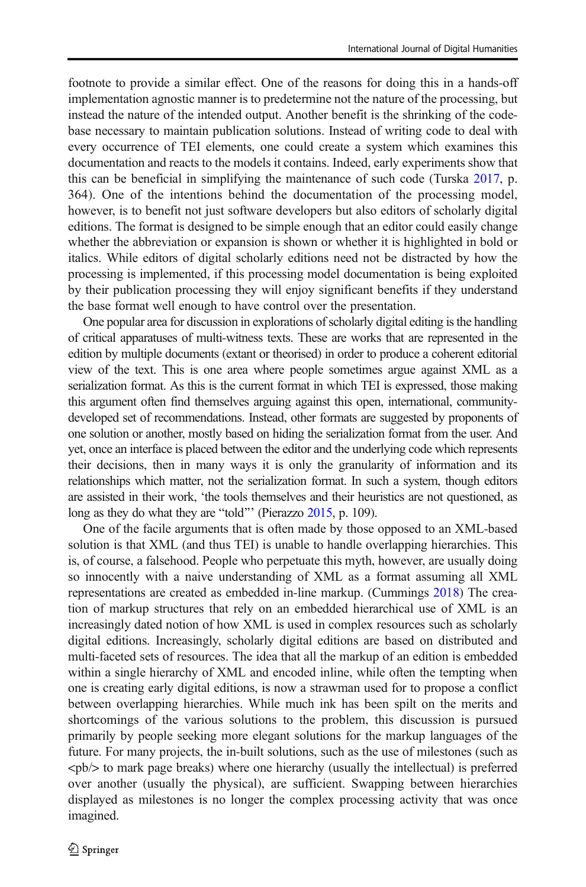footnote to provide a similar effect. One of the reasons for doing this in a hands-off implementation agnostic manner is to predetermine not the nature of the processing, but instead the nature of the intended output. Another benefit is the shrinking of the codebase necessary to maintain publication solutions. Instead of writing code to deal with every occurrence of TEI elements, one could create a system which examines this documentation and reacts to the models it contains. Indeed, early experiments show that this can be beneficial in simplifying the maintenance of such code (Turska [2017,](#page-14-0) p. 364). One of the intentions behind the documentation of the processing model, however, is to benefit not just software developers but also editors of scholarly digital editions. The format is designed to be simple enough that an editor could easily change whether the abbreviation or expansion is shown or whether it is highlighted in bold or italics. While editors of digital scholarly editions need not be distracted by how the processing is implemented, if this processing model documentation is being exploited by their publication processing they will enjoy significant benefits if they understand the base format well enough to have control over the presentation.

One popular area for discussion in explorations of scholarly digital editing is the handling of critical apparatuses of multi-witness texts. These are works that are represented in the edition by multiple documents (extant or theorised) in order to produce a coherent editorial view of the text. This is one area where people sometimes argue against XML as a serialization format. As this is the current format in which TEI is expressed, those making this argument often find themselves arguing against this open, international, communitydeveloped set of recommendations. Instead, other formats are suggested by proponents of one solution or another, mostly based on hiding the serialization format from the user. And yet, once an interface is placed between the editor and the underlying code which represents their decisions, then in many ways it is only the granularity of information and its relationships which matter, not the serialization format. In such a system, though editors are assisted in their work, 'the tools themselves and their heuristics are not questioned, as long as they do what they are "told" (Pierazzo  $2015$ , p. 109).

One of the facile arguments that is often made by those opposed to an XML-based solution is that XML (and thus TEI) is unable to handle overlapping hierarchies. This is, of course, a falsehood. People who perpetuate this myth, however, are usually doing so innocently with a naive understanding of XML as a format assuming all XML representations are created as embedded in-line markup. (Cummings [2018\)](#page-13-0) The creation of markup structures that rely on an embedded hierarchical use of XML is an increasingly dated notion of how XML is used in complex resources such as scholarly digital editions. Increasingly, scholarly digital editions are based on distributed and multi-faceted sets of resources. The idea that all the markup of an edition is embedded within a single hierarchy of XML and encoded inline, while often the tempting when one is creating early digital editions, is now a strawman used for to propose a conflict between overlapping hierarchies. While much ink has been spilt on the merits and shortcomings of the various solutions to the problem, this discussion is pursued primarily by people seeking more elegant solutions for the markup languages of the future. For many projects, the in-built solutions, such as the use of milestones (such as <pb/> to mark page breaks) where one hierarchy (usually the intellectual) is preferred over another (usually the physical), are sufficient. Swapping between hierarchies displayed as milestones is no longer the complex processing activity that was once imagined.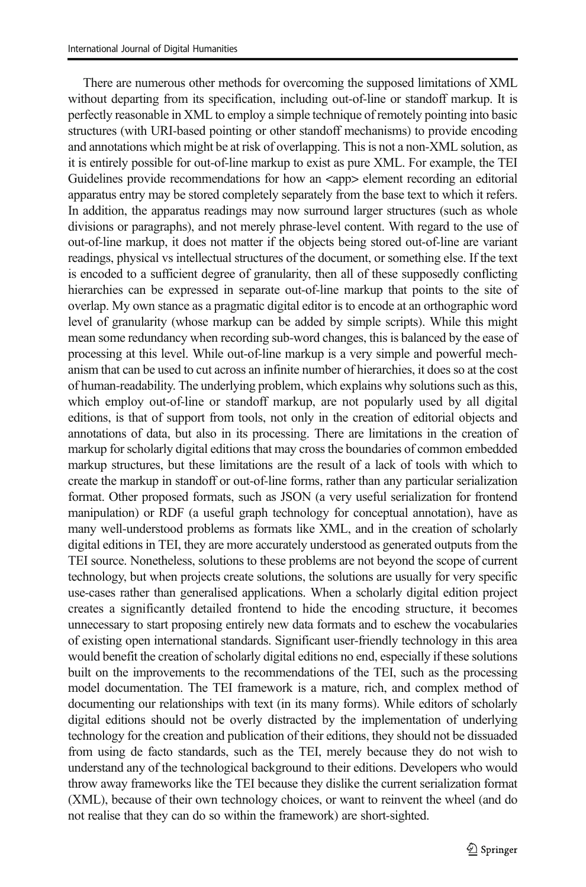There are numerous other methods for overcoming the supposed limitations of XML without departing from its specification, including out-of-line or standoff markup. It is perfectly reasonable in XML to employ a simple technique of remotely pointing into basic structures (with URI-based pointing or other standoff mechanisms) to provide encoding and annotations which might be at risk of overlapping. This is not a non-XML solution, as it is entirely possible for out-of-line markup to exist as pure XML. For example, the TEI Guidelines provide recommendations for how an  $\langle app \rangle$  element recording an editorial apparatus entry may be stored completely separately from the base text to which it refers. In addition, the apparatus readings may now surround larger structures (such as whole divisions or paragraphs), and not merely phrase-level content. With regard to the use of out-of-line markup, it does not matter if the objects being stored out-of-line are variant readings, physical vs intellectual structures of the document, or something else. If the text is encoded to a sufficient degree of granularity, then all of these supposedly conflicting hierarchies can be expressed in separate out-of-line markup that points to the site of overlap. My own stance as a pragmatic digital editor is to encode at an orthographic word level of granularity (whose markup can be added by simple scripts). While this might mean some redundancy when recording sub-word changes, this is balanced by the ease of processing at this level. While out-of-line markup is a very simple and powerful mechanism that can be used to cut across an infinite number of hierarchies, it does so at the cost of human-readability. The underlying problem, which explains why solutions such as this, which employ out-of-line or standoff markup, are not popularly used by all digital editions, is that of support from tools, not only in the creation of editorial objects and annotations of data, but also in its processing. There are limitations in the creation of markup for scholarly digital editions that may cross the boundaries of common embedded markup structures, but these limitations are the result of a lack of tools with which to create the markup in standoff or out-of-line forms, rather than any particular serialization format. Other proposed formats, such as JSON (a very useful serialization for frontend manipulation) or RDF (a useful graph technology for conceptual annotation), have as many well-understood problems as formats like XML, and in the creation of scholarly digital editions in TEI, they are more accurately understood as generated outputs from the TEI source. Nonetheless, solutions to these problems are not beyond the scope of current technology, but when projects create solutions, the solutions are usually for very specific use-cases rather than generalised applications. When a scholarly digital edition project creates a significantly detailed frontend to hide the encoding structure, it becomes unnecessary to start proposing entirely new data formats and to eschew the vocabularies of existing open international standards. Significant user-friendly technology in this area would benefit the creation of scholarly digital editions no end, especially if these solutions built on the improvements to the recommendations of the TEI, such as the processing model documentation. The TEI framework is a mature, rich, and complex method of documenting our relationships with text (in its many forms). While editors of scholarly digital editions should not be overly distracted by the implementation of underlying technology for the creation and publication of their editions, they should not be dissuaded from using de facto standards, such as the TEI, merely because they do not wish to understand any of the technological background to their editions. Developers who would throw away frameworks like the TEI because they dislike the current serialization format (XML), because of their own technology choices, or want to reinvent the wheel (and do not realise that they can do so within the framework) are short-sighted.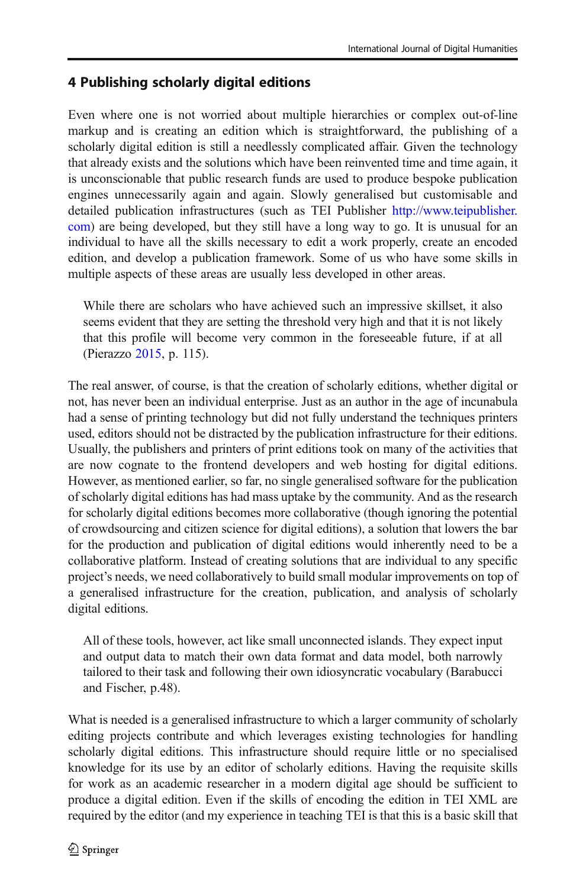# 4 Publishing scholarly digital editions

Even where one is not worried about multiple hierarchies or complex out-of-line markup and is creating an edition which is straightforward, the publishing of a scholarly digital edition is still a needlessly complicated affair. Given the technology that already exists and the solutions which have been reinvented time and time again, it is unconscionable that public research funds are used to produce bespoke publication engines unnecessarily again and again. Slowly generalised but customisable and detailed publication infrastructures (such as TEI Publisher [http://www.teipublisher.](http://www.teipublisher.com) [com\)](http://www.teipublisher.com) are being developed, but they still have a long way to go. It is unusual for an individual to have all the skills necessary to edit a work properly, create an encoded edition, and develop a publication framework. Some of us who have some skills in multiple aspects of these areas are usually less developed in other areas.

While there are scholars who have achieved such an impressive skillset, it also seems evident that they are setting the threshold very high and that it is not likely that this profile will become very common in the foreseeable future, if at all (Pierazzo [2015](#page-13-0), p. 115).

The real answer, of course, is that the creation of scholarly editions, whether digital or not, has never been an individual enterprise. Just as an author in the age of incunabula had a sense of printing technology but did not fully understand the techniques printers used, editors should not be distracted by the publication infrastructure for their editions. Usually, the publishers and printers of print editions took on many of the activities that are now cognate to the frontend developers and web hosting for digital editions. However, as mentioned earlier, so far, no single generalised software for the publication of scholarly digital editions has had mass uptake by the community. And as the research for scholarly digital editions becomes more collaborative (though ignoring the potential of crowdsourcing and citizen science for digital editions), a solution that lowers the bar for the production and publication of digital editions would inherently need to be a collaborative platform. Instead of creating solutions that are individual to any specific project's needs, we need collaboratively to build small modular improvements on top of a generalised infrastructure for the creation, publication, and analysis of scholarly digital editions.

All of these tools, however, act like small unconnected islands. They expect input and output data to match their own data format and data model, both narrowly tailored to their task and following their own idiosyncratic vocabulary (Barabucci and Fischer, p.48).

What is needed is a generalised infrastructure to which a larger community of scholarly editing projects contribute and which leverages existing technologies for handling scholarly digital editions. This infrastructure should require little or no specialised knowledge for its use by an editor of scholarly editions. Having the requisite skills for work as an academic researcher in a modern digital age should be sufficient to produce a digital edition. Even if the skills of encoding the edition in TEI XML are required by the editor (and my experience in teaching TEI is that this is a basic skill that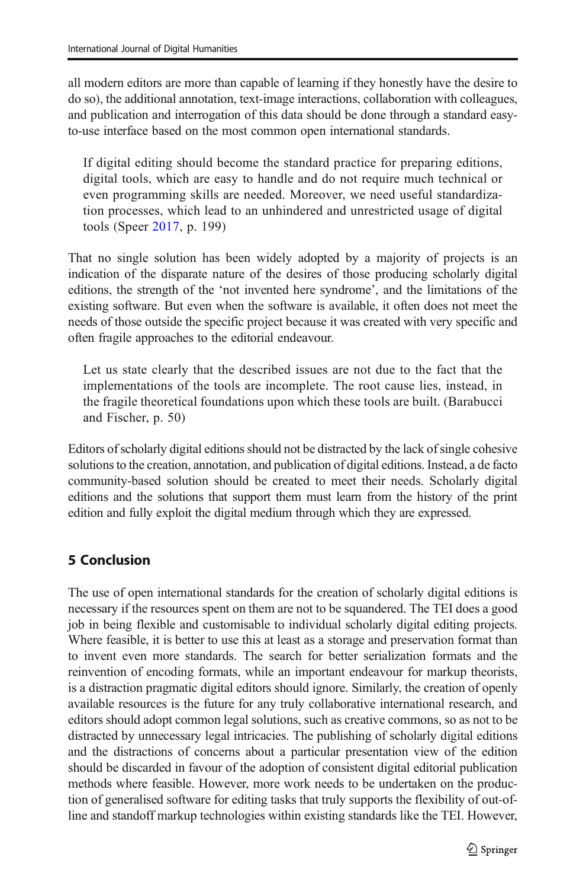all modern editors are more than capable of learning if they honestly have the desire to do so), the additional annotation, text-image interactions, collaboration with colleagues, and publication and interrogation of this data should be done through a standard easyto-use interface based on the most common open international standards.

If digital editing should become the standard practice for preparing editions, digital tools, which are easy to handle and do not require much technical or even programming skills are needed. Moreover, we need useful standardization processes, which lead to an unhindered and unrestricted usage of digital tools (Speer [2017,](#page-14-0) p. 199)

That no single solution has been widely adopted by a majority of projects is an indication of the disparate nature of the desires of those producing scholarly digital editions, the strength of the 'not invented here syndrome', and the limitations of the existing software. But even when the software is available, it often does not meet the needs of those outside the specific project because it was created with very specific and often fragile approaches to the editorial endeavour.

Let us state clearly that the described issues are not due to the fact that the implementations of the tools are incomplete. The root cause lies, instead, in the fragile theoretical foundations upon which these tools are built. (Barabucci and Fischer, p. 50)

Editors of scholarly digital editions should not be distracted by the lack of single cohesive solutions to the creation, annotation, and publication of digital editions. Instead, a de facto community-based solution should be created to meet their needs. Scholarly digital editions and the solutions that support them must learn from the history of the print edition and fully exploit the digital medium through which they are expressed.

# 5 Conclusion

The use of open international standards for the creation of scholarly digital editions is necessary if the resources spent on them are not to be squandered. The TEI does a good job in being flexible and customisable to individual scholarly digital editing projects. Where feasible, it is better to use this at least as a storage and preservation format than to invent even more standards. The search for better serialization formats and the reinvention of encoding formats, while an important endeavour for markup theorists, is a distraction pragmatic digital editors should ignore. Similarly, the creation of openly available resources is the future for any truly collaborative international research, and editors should adopt common legal solutions, such as creative commons, so as not to be distracted by unnecessary legal intricacies. The publishing of scholarly digital editions and the distractions of concerns about a particular presentation view of the edition should be discarded in favour of the adoption of consistent digital editorial publication methods where feasible. However, more work needs to be undertaken on the production of generalised software for editing tasks that truly supports the flexibility of out-ofline and standoff markup technologies within existing standards like the TEI. However,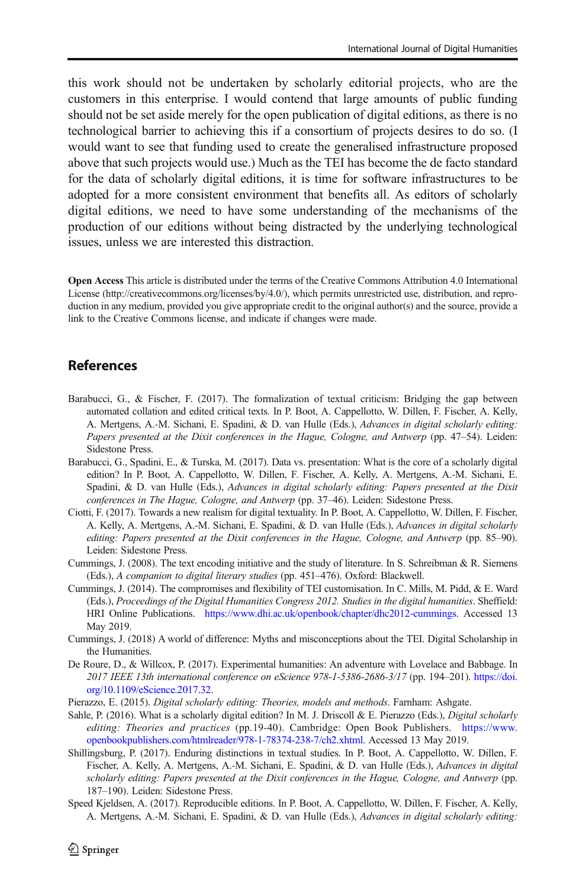<span id="page-13-0"></span>this work should not be undertaken by scholarly editorial projects, who are the customers in this enterprise. I would contend that large amounts of public funding should not be set aside merely for the open publication of digital editions, as there is no technological barrier to achieving this if a consortium of projects desires to do so. (I would want to see that funding used to create the generalised infrastructure proposed above that such projects would use.) Much as the TEI has become the de facto standard for the data of scholarly digital editions, it is time for software infrastructures to be adopted for a more consistent environment that benefits all. As editors of scholarly digital editions, we need to have some understanding of the mechanisms of the production of our editions without being distracted by the underlying technological issues, unless we are interested this distraction.

Open Access This article is distributed under the terms of the Creative Commons Attribution 4.0 International License (http://creativecommons.org/licenses/by/4.0/), which permits unrestricted use, distribution, and reproduction in any medium, provided you give appropriate credit to the original author(s) and the source, provide a link to the Creative Commons license, and indicate if changes were made.

#### **References**

- Barabucci, G., & Fischer, F. (2017). The formalization of textual criticism: Bridging the gap between automated collation and edited critical texts. In P. Boot, A. Cappellotto, W. Dillen, F. Fischer, A. Kelly, A. Mertgens, A.-M. Sichani, E. Spadini, & D. van Hulle (Eds.), Advances in digital scholarly editing: Papers presented at the Dixit conferences in the Hague, Cologne, and Antwerp (pp. 47–54). Leiden: Sidestone Press.
- Barabucci, G., Spadini, E., & Turska, M. (2017). Data vs. presentation: What is the core of a scholarly digital edition? In P. Boot, A. Cappellotto, W. Dillen, F. Fischer, A. Kelly, A. Mertgens, A.-M. Sichani, E. Spadini, & D. van Hulle (Eds.), Advances in digital scholarly editing: Papers presented at the Dixit conferences in The Hague, Cologne, and Antwerp (pp. 37–46). Leiden: Sidestone Press.
- Ciotti, F. (2017). Towards a new realism for digital textuality. In P. Boot, A. Cappellotto, W. Dillen, F. Fischer, A. Kelly, A. Mertgens, A.-M. Sichani, E. Spadini, & D. van Hulle (Eds.), Advances in digital scholarly editing: Papers presented at the Dixit conferences in the Hague, Cologne, and Antwerp (pp. 85–90). Leiden: Sidestone Press.
- Cummings, J. (2008). The text encoding initiative and the study of literature. In S. Schreibman & R. Siemens (Eds.), A companion to digital literary studies (pp. 451–476). Oxford: Blackwell.
- Cummings, J. (2014). The compromises and flexibility of TEI customisation. In C. Mills, M. Pidd, & E. Ward (Eds.), Proceedings of the Digital Humanities Congress 2012. Studies in the digital humanities. Sheffield: HRI Online Publications. <https://www.dhi.ac.uk/openbook/chapter/dhc2012-cummings>. Accessed 13 May 2019.
- Cummings, J. (2018) A world of difference: Myths and misconceptions about the TEI. Digital Scholarship in the Humanities.
- De Roure, D., & Willcox, P. (2017). Experimental humanities: An adventure with Lovelace and Babbage. In 2017 IEEE 13th international conference on eScience 978-1-5386-2686-3/17 (pp. 194–201). [https://doi.](https://doi.org/10.1109/eScience.2017.32) [org/10.1109/eScience.2017.32](https://doi.org/10.1109/eScience.2017.32).
- Pierazzo, E. (2015). Digital scholarly editing: Theories, models and methods. Farnham: Ashgate.
- Sahle, P. (2016). What is a scholarly digital edition? In M. J. Driscoll & E. Pierazzo (Eds.), Digital scholarly editing: Theories and practices (pp.19-40). Cambridge: Open Book Publishers. [https://www.](https://www.openbookpublishers.com/htmlreader/978-1-78374-238-7/ch2.xhtml) [openbookpublishers.com/htmlreader/978-1-78374-238-7/ch2.xhtml](https://www.openbookpublishers.com/htmlreader/978-1-78374-238-7/ch2.xhtml). Accessed 13 May 2019.
- Shillingsburg, P. (2017). Enduring distinctions in textual studies. In P. Boot, A. Cappellotto, W. Dillen, F. Fischer, A. Kelly, A. Mertgens, A.-M. Sichani, E. Spadini, & D. van Hulle (Eds.), Advances in digital scholarly editing: Papers presented at the Dixit conferences in the Hague, Cologne, and Antwerp (pp. 187–190). Leiden: Sidestone Press.
- Speed Kjeldsen, A. (2017). Reproducible editions. In P. Boot, A. Cappellotto, W. Dillen, F. Fischer, A. Kelly, A. Mertgens, A.-M. Sichani, E. Spadini, & D. van Hulle (Eds.), Advances in digital scholarly editing: